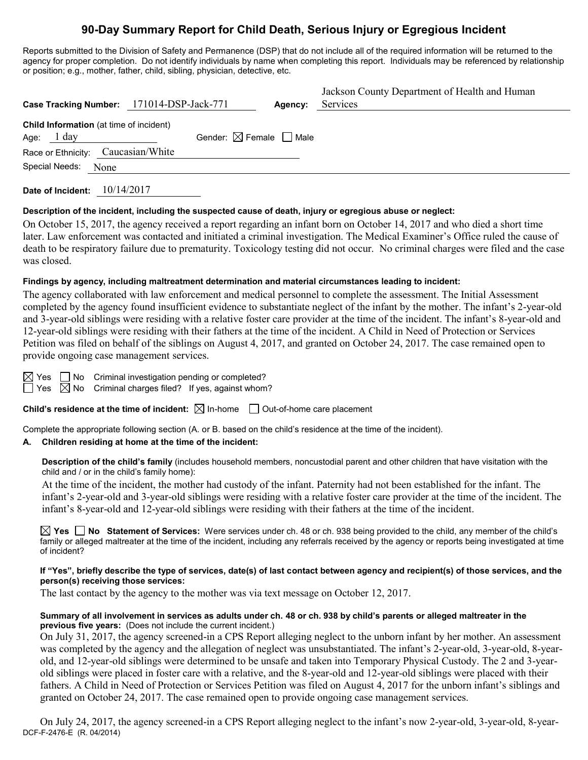# **90-Day Summary Report for Child Death, Serious Injury or Egregious Incident**

Reports submitted to the Division of Safety and Permanence (DSP) that do not include all of the required information will be returned to the agency for proper completion. Do not identify individuals by name when completing this report. Individuals may be referenced by relationship or position; e.g., mother, father, child, sibling, physician, detective, etc.

| Case Tracking Number: 171014-DSP-Jack-771                       |                                        | Agency: | Jackson County Department of Health and Human<br>Services |
|-----------------------------------------------------------------|----------------------------------------|---------|-----------------------------------------------------------|
| Child Information (at time of incident)<br>Age: $1 \text{ day}$ | Gender: $\boxtimes$ Female $\Box$ Male |         |                                                           |
| Race or Ethnicity: Caucasian/White                              |                                        |         |                                                           |
| Special Needs: None                                             |                                        |         |                                                           |

**Date of Incident:** 10/14/2017

#### **Description of the incident, including the suspected cause of death, injury or egregious abuse or neglect:**

On October 15, 2017, the agency received a report regarding an infant born on October 14, 2017 and who died a short time later. Law enforcement was contacted and initiated a criminal investigation. The Medical Examiner's Office ruled the cause of death to be respiratory failure due to prematurity. Toxicology testing did not occur. No criminal charges were filed and the case was closed.

#### **Findings by agency, including maltreatment determination and material circumstances leading to incident:**

The agency collaborated with law enforcement and medical personnel to complete the assessment. The Initial Assessment completed by the agency found insufficient evidence to substantiate neglect of the infant by the mother. The infant's 2-year-old and 3-year-old siblings were residing with a relative foster care provider at the time of the incident. The infant's 8-year-old and 12-year-old siblings were residing with their fathers at the time of the incident. A Child in Need of Protection or Services Petition was filed on behalf of the siblings on August 4, 2017, and granted on October 24, 2017. The case remained open to provide ongoing case management services.

| ۰ |
|---|
|   |

 $\Box$  No Criminal investigation pending or completed?

 $\boxtimes$  No Criminal charges filed? If yes, against whom?

**Child's residence at the time of incident:**  $\boxtimes$  In-home  $\Box$  Out-of-home care placement

Complete the appropriate following section (A. or B. based on the child's residence at the time of the incident).

# **A. Children residing at home at the time of the incident:**

**Description of the child's family** (includes household members, noncustodial parent and other children that have visitation with the child and / or in the child's family home):

At the time of the incident, the mother had custody of the infant. Paternity had not been established for the infant. The infant's 2-year-old and 3-year-old siblings were residing with a relative foster care provider at the time of the incident. The infant's 8-year-old and 12-year-old siblings were residing with their fathers at the time of the incident.

**Yes No Statement of Services:** Were services under ch. 48 or ch. 938 being provided to the child, any member of the child's family or alleged maltreater at the time of the incident, including any referrals received by the agency or reports being investigated at time of incident?

#### **If "Yes", briefly describe the type of services, date(s) of last contact between agency and recipient(s) of those services, and the person(s) receiving those services:**

The last contact by the agency to the mother was via text message on October 12, 2017.

#### **Summary of all involvement in services as adults under ch. 48 or ch. 938 by child's parents or alleged maltreater in the previous five years:** (Does not include the current incident.)

On July 31, 2017, the agency screened-in a CPS Report alleging neglect to the unborn infant by her mother. An assessment was completed by the agency and the allegation of neglect was unsubstantiated. The infant's 2-year-old, 3-year-old, 8-yearold, and 12-year-old siblings were determined to be unsafe and taken into Temporary Physical Custody. The 2 and 3-yearold siblings were placed in foster care with a relative, and the 8-year-old and 12-year-old siblings were placed with their fathers. A Child in Need of Protection or Services Petition was filed on August 4, 2017 for the unborn infant's siblings and granted on October 24, 2017. The case remained open to provide ongoing case management services.

DCF-F-2476-E (R. 04/2014) On July 24, 2017, the agency screened-in a CPS Report alleging neglect to the infant's now 2-year-old, 3-year-old, 8-year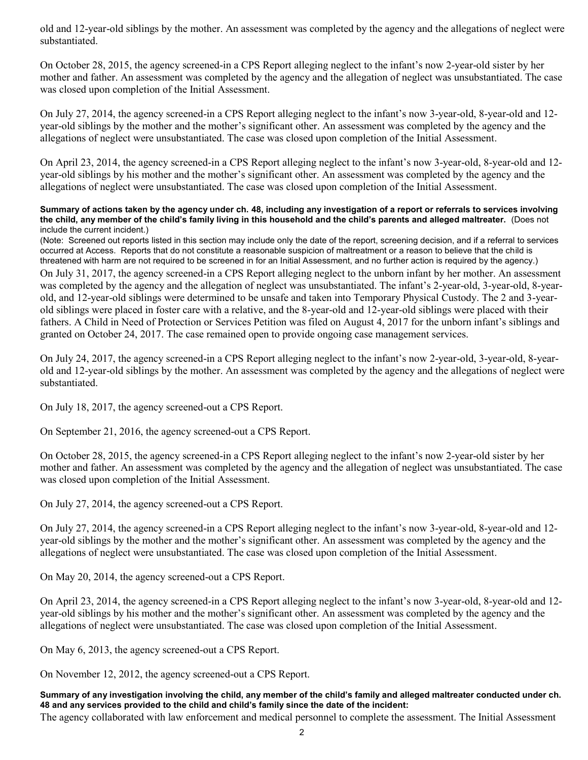old and 12-year-old siblings by the mother. An assessment was completed by the agency and the allegations of neglect were substantiated.

On October 28, 2015, the agency screened-in a CPS Report alleging neglect to the infant's now 2-year-old sister by her mother and father. An assessment was completed by the agency and the allegation of neglect was unsubstantiated. The case was closed upon completion of the Initial Assessment.

On July 27, 2014, the agency screened-in a CPS Report alleging neglect to the infant's now 3-year-old, 8-year-old and 12 year-old siblings by the mother and the mother's significant other. An assessment was completed by the agency and the allegations of neglect were unsubstantiated. The case was closed upon completion of the Initial Assessment.

On April 23, 2014, the agency screened-in a CPS Report alleging neglect to the infant's now 3-year-old, 8-year-old and 12 year-old siblings by his mother and the mother's significant other. An assessment was completed by the agency and the allegations of neglect were unsubstantiated. The case was closed upon completion of the Initial Assessment.

#### **Summary of actions taken by the agency under ch. 48, including any investigation of a report or referrals to services involving the child, any member of the child's family living in this household and the child's parents and alleged maltreater.** (Does not include the current incident.)

(Note: Screened out reports listed in this section may include only the date of the report, screening decision, and if a referral to services occurred at Access. Reports that do not constitute a reasonable suspicion of maltreatment or a reason to believe that the child is threatened with harm are not required to be screened in for an Initial Assessment, and no further action is required by the agency.)

On July 31, 2017, the agency screened-in a CPS Report alleging neglect to the unborn infant by her mother. An assessment was completed by the agency and the allegation of neglect was unsubstantiated. The infant's 2-year-old, 3-year-old, 8-yearold, and 12-year-old siblings were determined to be unsafe and taken into Temporary Physical Custody. The 2 and 3-yearold siblings were placed in foster care with a relative, and the 8-year-old and 12-year-old siblings were placed with their fathers. A Child in Need of Protection or Services Petition was filed on August 4, 2017 for the unborn infant's siblings and granted on October 24, 2017. The case remained open to provide ongoing case management services.

On July 24, 2017, the agency screened-in a CPS Report alleging neglect to the infant's now 2-year-old, 3-year-old, 8-yearold and 12-year-old siblings by the mother. An assessment was completed by the agency and the allegations of neglect were substantiated.

On July 18, 2017, the agency screened-out a CPS Report.

On September 21, 2016, the agency screened-out a CPS Report.

On October 28, 2015, the agency screened-in a CPS Report alleging neglect to the infant's now 2-year-old sister by her mother and father. An assessment was completed by the agency and the allegation of neglect was unsubstantiated. The case was closed upon completion of the Initial Assessment.

On July 27, 2014, the agency screened-out a CPS Report.

On July 27, 2014, the agency screened-in a CPS Report alleging neglect to the infant's now 3-year-old, 8-year-old and 12 year-old siblings by the mother and the mother's significant other. An assessment was completed by the agency and the allegations of neglect were unsubstantiated. The case was closed upon completion of the Initial Assessment.

On May 20, 2014, the agency screened-out a CPS Report.

On April 23, 2014, the agency screened-in a CPS Report alleging neglect to the infant's now 3-year-old, 8-year-old and 12 year-old siblings by his mother and the mother's significant other. An assessment was completed by the agency and the allegations of neglect were unsubstantiated. The case was closed upon completion of the Initial Assessment.

On May 6, 2013, the agency screened-out a CPS Report.

On November 12, 2012, the agency screened-out a CPS Report.

**Summary of any investigation involving the child, any member of the child's family and alleged maltreater conducted under ch. 48 and any services provided to the child and child's family since the date of the incident:**

The agency collaborated with law enforcement and medical personnel to complete the assessment. The Initial Assessment